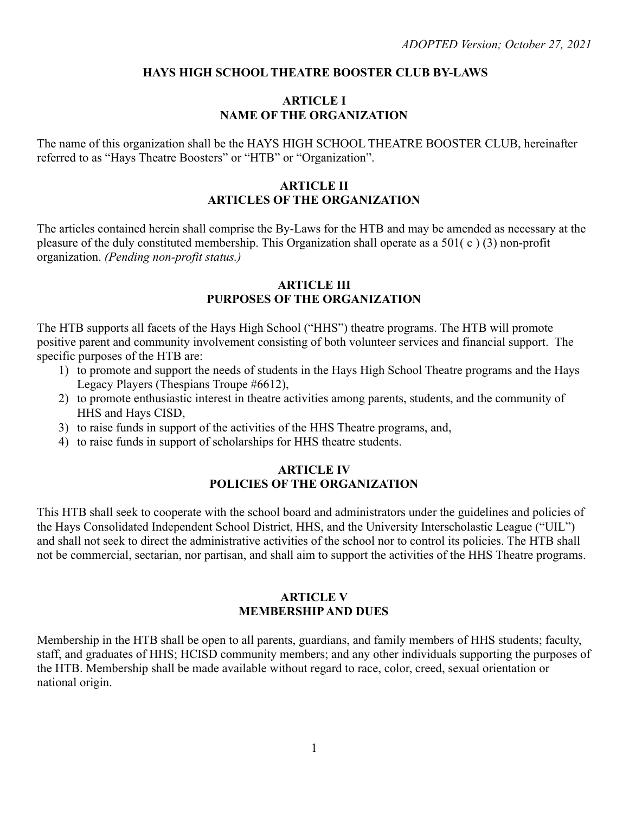#### **HAYS HIGH SCHOOL THEATRE BOOSTER CLUB BY-LAWS**

#### **ARTICLE I NAME OF THE ORGANIZATION**

The name of this organization shall be the HAYS HIGH SCHOOL THEATRE BOOSTER CLUB, hereinafter referred to as "Hays Theatre Boosters" or "HTB" or "Organization".

### **ARTICLE II ARTICLES OF THE ORGANIZATION**

The articles contained herein shall comprise the By-Laws for the HTB and may be amended as necessary at the pleasure of the duly constituted membership. This Organization shall operate as a 501( c ) (3) non-profit organization. *(Pending non-profit status.)*

#### **ARTICLE III PURPOSES OF THE ORGANIZATION**

The HTB supports all facets of the Hays High School ("HHS") theatre programs. The HTB will promote positive parent and community involvement consisting of both volunteer services and financial support. The specific purposes of the HTB are:

- 1) to promote and support the needs of students in the Hays High School Theatre programs and the Hays Legacy Players (Thespians Troupe #6612),
- 2) to promote enthusiastic interest in theatre activities among parents, students, and the community of HHS and Hays CISD,
- 3) to raise funds in support of the activities of the HHS Theatre programs, and,
- 4) to raise funds in support of scholarships for HHS theatre students.

#### **ARTICLE IV POLICIES OF THE ORGANIZATION**

This HTB shall seek to cooperate with the school board and administrators under the guidelines and policies of the Hays Consolidated Independent School District, HHS, and the University Interscholastic League ("UIL") and shall not seek to direct the administrative activities of the school nor to control its policies. The HTB shall not be commercial, sectarian, nor partisan, and shall aim to support the activities of the HHS Theatre programs.

#### **ARTICLE V MEMBERSHIP AND DUES**

Membership in the HTB shall be open to all parents, guardians, and family members of HHS students; faculty, staff, and graduates of HHS; HCISD community members; and any other individuals supporting the purposes of the HTB. Membership shall be made available without regard to race, color, creed, sexual orientation or national origin.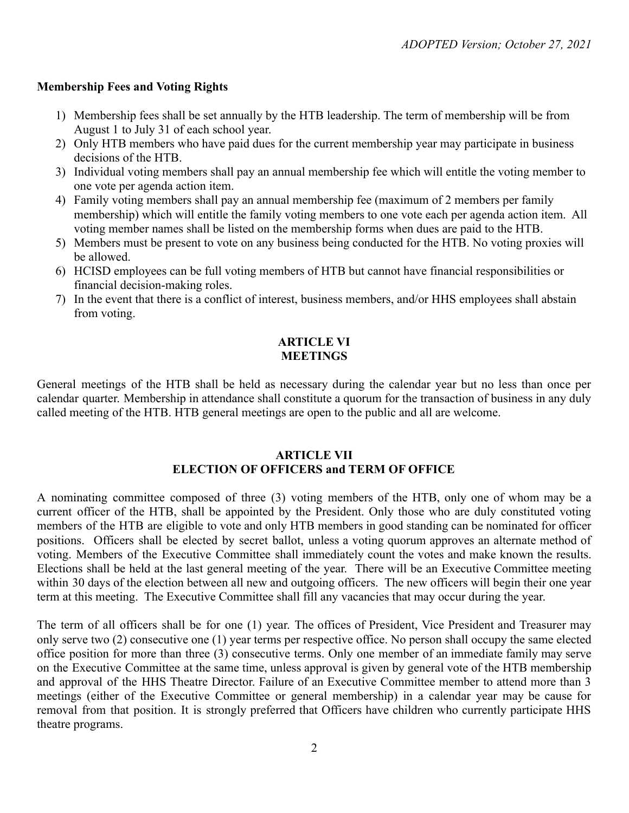### **Membership Fees and Voting Rights**

- 1) Membership fees shall be set annually by the HTB leadership. The term of membership will be from August 1 to July 31 of each school year.
- 2) Only HTB members who have paid dues for the current membership year may participate in business decisions of the HTB.
- 3) Individual voting members shall pay an annual membership fee which will entitle the voting member to one vote per agenda action item.
- 4) Family voting members shall pay an annual membership fee (maximum of 2 members per family membership) which will entitle the family voting members to one vote each per agenda action item. All voting member names shall be listed on the membership forms when dues are paid to the HTB.
- 5) Members must be present to vote on any business being conducted for the HTB. No voting proxies will be allowed.
- 6) HCISD employees can be full voting members of HTB but cannot have financial responsibilities or financial decision-making roles.
- 7) In the event that there is a conflict of interest, business members, and/or HHS employees shall abstain from voting.

## **ARTICLE VI MEETINGS**

General meetings of the HTB shall be held as necessary during the calendar year but no less than once per calendar quarter. Membership in attendance shall constitute a quorum for the transaction of business in any duly called meeting of the HTB. HTB general meetings are open to the public and all are welcome.

#### **ARTICLE VII ELECTION OF OFFICERS and TERM OF OFFICE**

A nominating committee composed of three (3) voting members of the HTB, only one of whom may be a current officer of the HTB, shall be appointed by the President. Only those who are duly constituted voting members of the HTB are eligible to vote and only HTB members in good standing can be nominated for officer positions. Officers shall be elected by secret ballot, unless a voting quorum approves an alternate method of voting. Members of the Executive Committee shall immediately count the votes and make known the results. Elections shall be held at the last general meeting of the year. There will be an Executive Committee meeting within 30 days of the election between all new and outgoing officers. The new officers will begin their one year term at this meeting. The Executive Committee shall fill any vacancies that may occur during the year.

The term of all officers shall be for one (1) year. The offices of President, Vice President and Treasurer may only serve two (2) consecutive one (1) year terms per respective office. No person shall occupy the same elected office position for more than three (3) consecutive terms. Only one member of an immediate family may serve on the Executive Committee at the same time, unless approval is given by general vote of the HTB membership and approval of the HHS Theatre Director. Failure of an Executive Committee member to attend more than 3 meetings (either of the Executive Committee or general membership) in a calendar year may be cause for removal from that position. It is strongly preferred that Officers have children who currently participate HHS theatre programs.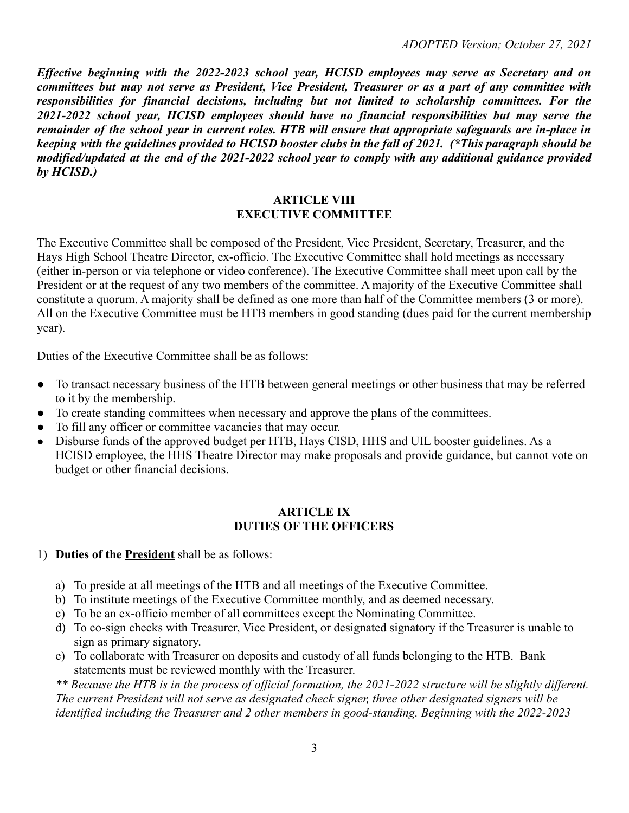*Effective beginning with the 2022-2023 school year, HCISD employees may serve as Secretary and on* committees but may not serve as President, Vice President, Treasurer or as a part of any committee with *responsibilities for financial decisions, including but not limited to scholarship committees. For the 2021-2022 school year, HCISD employees should have no financial responsibilities but may serve the* remainder of the school year in current roles. HTB will ensure that appropriate safeguards are in-place in keeping with the guidelines provided to HCISD booster clubs in the fall of 2021. (\*This paragraph should be *modified/updated at the end of the 2021-2022 school year to comply with any additional guidance provided by HCISD.)*

#### **ARTICLE VIII EXECUTIVE COMMITTEE**

The Executive Committee shall be composed of the President, Vice President, Secretary, Treasurer, and the Hays High School Theatre Director, ex-officio. The Executive Committee shall hold meetings as necessary (either in-person or via telephone or video conference). The Executive Committee shall meet upon call by the President or at the request of any two members of the committee. A majority of the Executive Committee shall constitute a quorum. A majority shall be defined as one more than half of the Committee members (3 or more). All on the Executive Committee must be HTB members in good standing (dues paid for the current membership year).

Duties of the Executive Committee shall be as follows:

- To transact necessary business of the HTB between general meetings or other business that may be referred to it by the membership.
- To create standing committees when necessary and approve the plans of the committees.
- To fill any officer or committee vacancies that may occur.
- **●** Disburse funds of the approved budget per HTB, Hays CISD, HHS and UIL booster guidelines. As a HCISD employee, the HHS Theatre Director may make proposals and provide guidance, but cannot vote on budget or other financial decisions.

#### **ARTICLE IX DUTIES OF THE OFFICERS**

- 1) **Duties of the President** shall be as follows:
	- a) To preside at all meetings of the HTB and all meetings of the Executive Committee.
	- b) To institute meetings of the Executive Committee monthly, and as deemed necessary.
	- c) To be an ex-officio member of all committees except the Nominating Committee.
	- d) To co-sign checks with Treasurer, Vice President, or designated signatory if the Treasurer is unable to sign as primary signatory.
	- e) To collaborate with Treasurer on deposits and custody of all funds belonging to the HTB. Bank statements must be reviewed monthly with the Treasurer.

*\*\* Because the HTB is in the process of official formation, the 2021-2022 structure will be slightly different. The current President will not serve as designated check signer, three other designated signers will be identified including the Treasurer and 2 other members in good-standing. Beginning with the 2022-2023*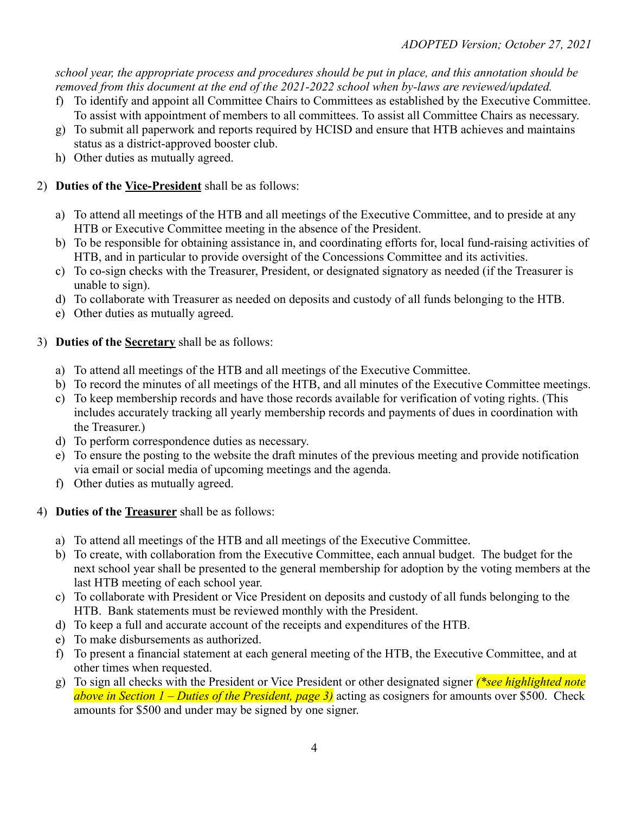*school year, the appropriate process and procedures should be put in place, and this annotation should be removed from this document at the end of the 2021-2022 school when by-laws are reviewed/updated.*

- f) To identify and appoint all Committee Chairs to Committees as established by the Executive Committee. To assist with appointment of members to all committees. To assist all Committee Chairs as necessary.
- g) To submit all paperwork and reports required by HCISD and ensure that HTB achieves and maintains status as a district-approved booster club.
- h) Other duties as mutually agreed.

# 2) **Duties of the Vice-President** shall be as follows:

- a) To attend all meetings of the HTB and all meetings of the Executive Committee, and to preside at any HTB or Executive Committee meeting in the absence of the President.
- b) To be responsible for obtaining assistance in, and coordinating efforts for, local fund-raising activities of HTB, and in particular to provide oversight of the Concessions Committee and its activities.
- c) To co-sign checks with the Treasurer, President, or designated signatory as needed (if the Treasurer is unable to sign).
- d) To collaborate with Treasurer as needed on deposits and custody of all funds belonging to the HTB.
- e) Other duties as mutually agreed.
- 3) **Duties of the Secretary** shall be as follows:
	- a) To attend all meetings of the HTB and all meetings of the Executive Committee.
	- b) To record the minutes of all meetings of the HTB, and all minutes of the Executive Committee meetings.
	- c) To keep membership records and have those records available for verification of voting rights. (This includes accurately tracking all yearly membership records and payments of dues in coordination with the Treasurer.)
	- d) To perform correspondence duties as necessary.
	- e) To ensure the posting to the website the draft minutes of the previous meeting and provide notification via email or social media of upcoming meetings and the agenda.
	- f) Other duties as mutually agreed.
- 4) **Duties of the Treasurer** shall be as follows:
	- a) To attend all meetings of the HTB and all meetings of the Executive Committee.
	- b) To create, with collaboration from the Executive Committee, each annual budget. The budget for the next school year shall be presented to the general membership for adoption by the voting members at the last HTB meeting of each school year.
	- c) To collaborate with President or Vice President on deposits and custody of all funds belonging to the HTB. Bank statements must be reviewed monthly with the President.
	- d) To keep a full and accurate account of the receipts and expenditures of the HTB.
	- e) To make disbursements as authorized.
	- f) To present a financial statement at each general meeting of the HTB, the Executive Committee, and at other times when requested.
	- g) To sign all checks with the President or Vice President or other designated signer *(\*see highlighted note above in Section 1 – Duties of the President, page 3)* acting as cosigners for amounts over \$500. Check amounts for \$500 and under may be signed by one signer.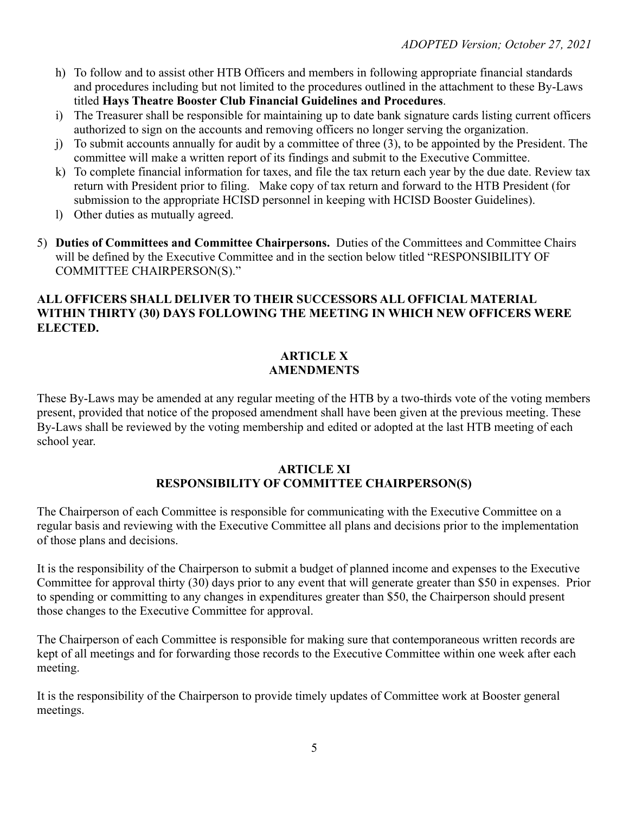- h) To follow and to assist other HTB Officers and members in following appropriate financial standards and procedures including but not limited to the procedures outlined in the attachment to these By-Laws titled **Hays Theatre Booster Club Financial Guidelines and Procedures**.
- i) The Treasurer shall be responsible for maintaining up to date bank signature cards listing current officers authorized to sign on the accounts and removing officers no longer serving the organization.
- j) To submit accounts annually for audit by a committee of three (3), to be appointed by the President. The committee will make a written report of its findings and submit to the Executive Committee.
- k) To complete financial information for taxes, and file the tax return each year by the due date. Review tax return with President prior to filing. Make copy of tax return and forward to the HTB President (for submission to the appropriate HCISD personnel in keeping with HCISD Booster Guidelines).
- l) Other duties as mutually agreed.
- 5) **Duties of Committees and Committee Chairpersons.** Duties of the Committees and Committee Chairs will be defined by the Executive Committee and in the section below titled "RESPONSIBILITY OF COMMITTEE CHAIRPERSON(S)."

# **ALL OFFICERS SHALL DELIVER TO THEIR SUCCESSORS ALL OFFICIAL MATERIAL WITHIN THIRTY (30) DAYS FOLLOWING THE MEETING IN WHICH NEW OFFICERS WERE ELECTED.**

#### **ARTICLE X AMENDMENTS**

These By-Laws may be amended at any regular meeting of the HTB by a two-thirds vote of the voting members present, provided that notice of the proposed amendment shall have been given at the previous meeting. These By-Laws shall be reviewed by the voting membership and edited or adopted at the last HTB meeting of each school year.

#### **ARTICLE XI RESPONSIBILITY OF COMMITTEE CHAIRPERSON(S)**

The Chairperson of each Committee is responsible for communicating with the Executive Committee on a regular basis and reviewing with the Executive Committee all plans and decisions prior to the implementation of those plans and decisions.

It is the responsibility of the Chairperson to submit a budget of planned income and expenses to the Executive Committee for approval thirty (30) days prior to any event that will generate greater than \$50 in expenses. Prior to spending or committing to any changes in expenditures greater than \$50, the Chairperson should present those changes to the Executive Committee for approval.

The Chairperson of each Committee is responsible for making sure that contemporaneous written records are kept of all meetings and for forwarding those records to the Executive Committee within one week after each meeting.

It is the responsibility of the Chairperson to provide timely updates of Committee work at Booster general meetings.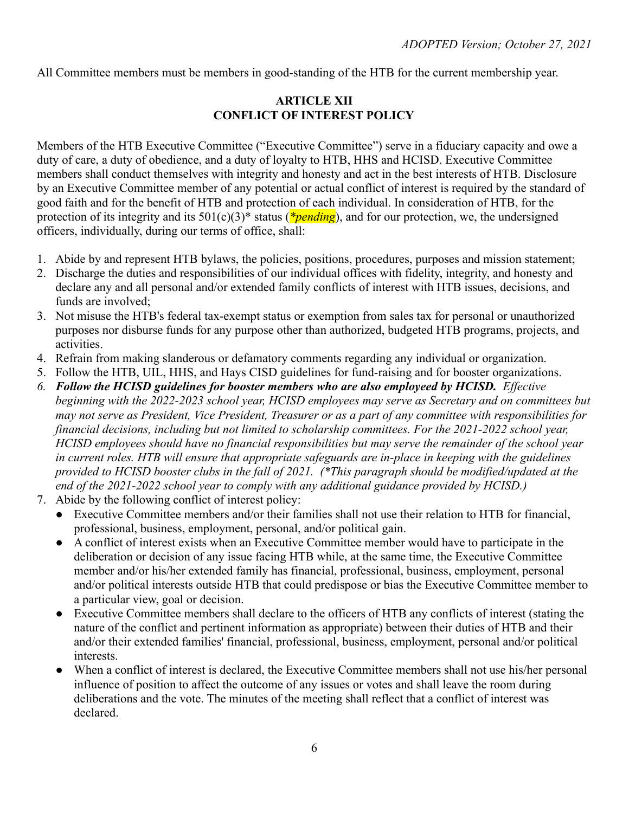All Committee members must be members in good-standing of the HTB for the current membership year.

### **ARTICLE XII CONFLICT OF INTEREST POLICY**

Members of the HTB Executive Committee ("Executive Committee") serve in a fiduciary capacity and owe a duty of care, a duty of obedience, and a duty of loyalty to HTB, HHS and HCISD. Executive Committee members shall conduct themselves with integrity and honesty and act in the best interests of HTB. Disclosure by an Executive Committee member of any potential or actual conflict of interest is required by the standard of good faith and for the benefit of HTB and protection of each individual. In consideration of HTB, for the protection of its integrity and its 501(c)(3)\* status (*\*pending*), and for our protection, we, the undersigned officers, individually, during our terms of office, shall:

- 1. Abide by and represent HTB bylaws, the policies, positions, procedures, purposes and mission statement;
- 2. Discharge the duties and responsibilities of our individual offices with fidelity, integrity, and honesty and declare any and all personal and/or extended family conflicts of interest with HTB issues, decisions, and funds are involved;
- 3. Not misuse the HTB's federal tax-exempt status or exemption from sales tax for personal or unauthorized purposes nor disburse funds for any purpose other than authorized, budgeted HTB programs, projects, and activities.
- 4. Refrain from making slanderous or defamatory comments regarding any individual or organization.
- 5. Follow the HTB, UIL, HHS, and Hays CISD guidelines for fund-raising and for booster organizations.
- *6. Follow the HCISD guidelines for booster members who are also employeed by HCISD. Effective beginning with the 2022-2023 school year, HCISD employees may serve as Secretary and on committees but may not serve as President, Vice President, Treasurer or as a part of any committee with responsibilities for financial decisions, including but not limited to scholarship committees. For the 2021-2022 school year, HCISD employees should have no financial responsibilities but may serve the remainder of the school year in current roles. HTB will ensure that appropriate safeguards are in-place in keeping with the guidelines provided to HCISD booster clubs in the fall of 2021. (\*This paragraph should be modified/updated at the end of the 2021-2022 school year to comply with any additional guidance provided by HCISD.)*
- 7. Abide by the following conflict of interest policy:
	- Executive Committee members and/or their families shall not use their relation to HTB for financial, professional, business, employment, personal, and/or political gain.
	- A conflict of interest exists when an Executive Committee member would have to participate in the deliberation or decision of any issue facing HTB while, at the same time, the Executive Committee member and/or his/her extended family has financial, professional, business, employment, personal and/or political interests outside HTB that could predispose or bias the Executive Committee member to a particular view, goal or decision.
	- Executive Committee members shall declare to the officers of HTB any conflicts of interest (stating the nature of the conflict and pertinent information as appropriate) between their duties of HTB and their and/or their extended families' financial, professional, business, employment, personal and/or political interests.
	- When a conflict of interest is declared, the Executive Committee members shall not use his/her personal influence of position to affect the outcome of any issues or votes and shall leave the room during deliberations and the vote. The minutes of the meeting shall reflect that a conflict of interest was declared.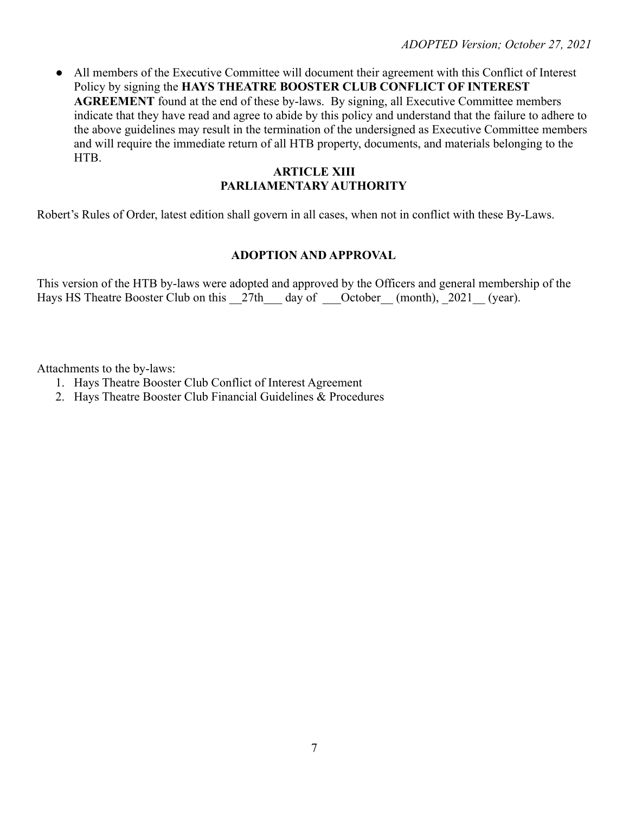• All members of the Executive Committee will document their agreement with this Conflict of Interest Policy by signing the **HAYS THEATRE BOOSTER CLUB CONFLICT OF INTEREST AGREEMENT** found at the end of these by-laws. By signing, all Executive Committee members indicate that they have read and agree to abide by this policy and understand that the failure to adhere to the above guidelines may result in the termination of the undersigned as Executive Committee members and will require the immediate return of all HTB property, documents, and materials belonging to the HTB.

## **ARTICLE XIII PARLIAMENTARY AUTHORITY**

Robert's Rules of Order, latest edition shall govern in all cases, when not in conflict with these By-Laws.

### **ADOPTION AND APPROVAL**

This version of the HTB by-laws were adopted and approved by the Officers and general membership of the Hays HS Theatre Booster Club on this \_\_27th\_\_\_ day of \_\_\_October\_\_ (month), \_2021\_\_ (year).

Attachments to the by-laws:

- 1. Hays Theatre Booster Club Conflict of Interest Agreement
- 2. Hays Theatre Booster Club Financial Guidelines & Procedures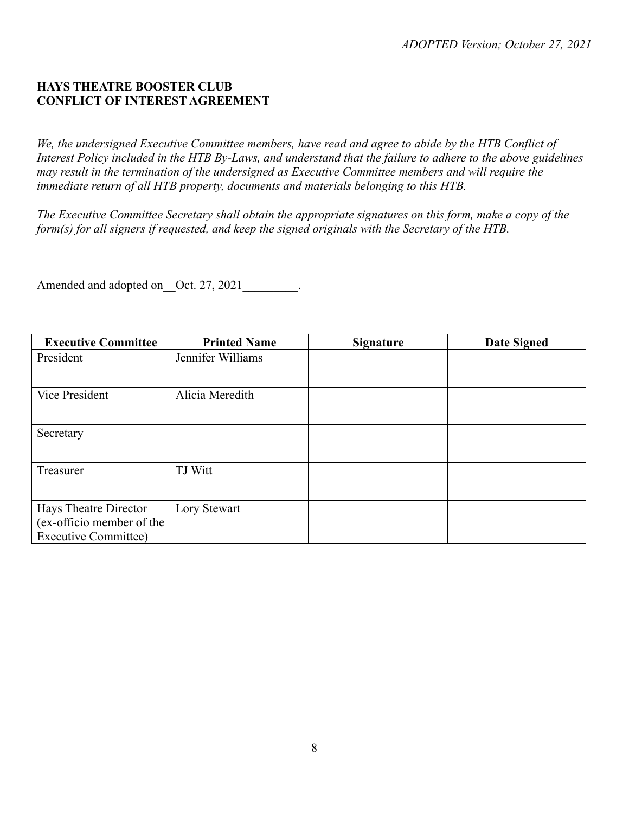# **HAYS THEATRE BOOSTER CLUB CONFLICT OF INTEREST AGREEMENT**

*We, the undersigned Executive Committee members, have read and agree to abide by the HTB Conflict of Interest Policy included in the HTB By-Laws, and understand that the failure to adhere to the above guidelines may result in the termination of the undersigned as Executive Committee members and will require the immediate return of all HTB property, documents and materials belonging to this HTB.*

*The Executive Committee Secretary shall obtain the appropriate signatures on this form, make a copy of the form(s) for all signers if requested, and keep the signed originals with the Secretary of the HTB.*

Amended and adopted on Oct. 27, 2021

| <b>Executive Committee</b>                                                        | <b>Printed Name</b> | <b>Signature</b> | <b>Date Signed</b> |
|-----------------------------------------------------------------------------------|---------------------|------------------|--------------------|
| President                                                                         | Jennifer Williams   |                  |                    |
| Vice President                                                                    | Alicia Meredith     |                  |                    |
| Secretary                                                                         |                     |                  |                    |
| Treasurer                                                                         | TJ Witt             |                  |                    |
| Hays Theatre Director<br>(ex-officio member of the<br><b>Executive Committee)</b> | Lory Stewart        |                  |                    |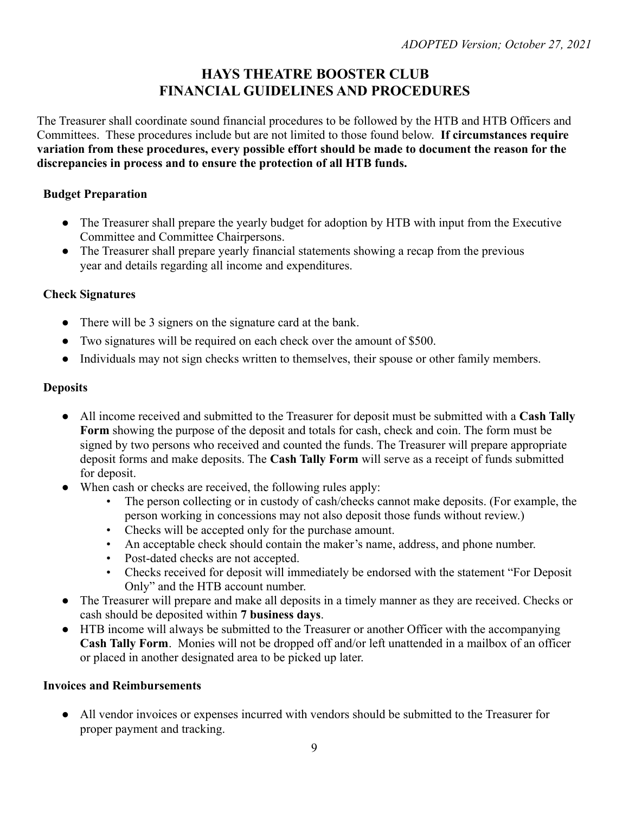# **HAYS THEATRE BOOSTER CLUB FINANCIAL GUIDELINES AND PROCEDURES**

The Treasurer shall coordinate sound financial procedures to be followed by the HTB and HTB Officers and Committees. These procedures include but are not limited to those found below. **If circumstances require variation from these procedures, every possible effort should be made to document the reason for the discrepancies in process and to ensure the protection of all HTB funds.**

# **Budget Preparation**

- The Treasurer shall prepare the yearly budget for adoption by HTB with input from the Executive Committee and Committee Chairpersons.
- The Treasurer shall prepare yearly financial statements showing a recap from the previous year and details regarding all income and expenditures.

# **Check Signatures**

- There will be 3 signers on the signature card at the bank.
- Two signatures will be required on each check over the amount of \$500.
- Individuals may not sign checks written to themselves, their spouse or other family members.

# **Deposits**

- All income received and submitted to the Treasurer for deposit must be submitted with a **Cash Tally Form** showing the purpose of the deposit and totals for cash, check and coin. The form must be signed by two persons who received and counted the funds. The Treasurer will prepare appropriate deposit forms and make deposits. The **Cash Tally Form** will serve as a receipt of funds submitted for deposit.
- When cash or checks are received, the following rules apply:
	- The person collecting or in custody of cash/checks cannot make deposits. (For example, the person working in concessions may not also deposit those funds without review.)
	- Checks will be accepted only for the purchase amount.
	- An acceptable check should contain the maker's name, address, and phone number.
	- Post-dated checks are not accepted.
	- Checks received for deposit will immediately be endorsed with the statement "For Deposit Only" and the HTB account number.
- The Treasurer will prepare and make all deposits in a timely manner as they are received. Checks or cash should be deposited within **7 business days**.
- HTB income will always be submitted to the Treasurer or another Officer with the accompanying **Cash Tally Form**. Monies will not be dropped off and/or left unattended in a mailbox of an officer or placed in another designated area to be picked up later.

# **Invoices and Reimbursements**

● All vendor invoices or expenses incurred with vendors should be submitted to the Treasurer for proper payment and tracking.